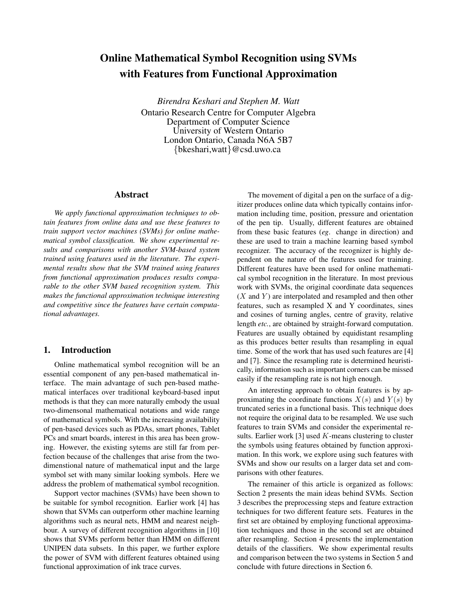# Online Mathematical Symbol Recognition using SVMs with Features from Functional Approximation

*Birendra Keshari and Stephen M. Watt* Ontario Research Centre for Computer Algebra Department of Computer Science University of Western Ontario London Ontario, Canada N6A 5B7 {bkeshari,watt}@csd.uwo.ca

#### Abstract

*We apply functional approximation techniques to obtain features from online data and use these features to train support vector machines (SVMs) for online mathematical symbol classification. We show experimental results and comparisons with another SVM-based system trained using features used in the literature. The experimental results show that the SVM trained using features from functional approximation produces results comparable to the other SVM based recognition system. This makes the functional approximation technique interesting and competitive since the features have certain computational advantages.*

## 1. Introduction

Online mathematical symbol recognition will be an essential component of any pen-based mathematical interface. The main advantage of such pen-based mathematical interfaces over traditional keyboard-based input methods is that they can more naturally embody the usual two-dimensonal mathematical notations and wide range of mathematical symbols. With the increasing availability of pen-based devices such as PDAs, smart phones, Tablet PCs and smart boards, interest in this area has been growing. However, the existing sytems are still far from perfection because of the challenges that arise from the twodimenstional nature of mathematical input and the large symbol set with many similar looking symbols. Here we address the problem of mathematical symbol recognition.

Support vector machines (SVMs) have been shown to be suitable for symbol recognition. Earlier work [4] has shown that SVMs can outperform other machine learning algorithms such as neural nets, HMM and nearest neighbour. A survey of different recognition algorithms in [10] shows that SVMs perform better than HMM on different UNIPEN data subsets. In this paper, we further explore the power of SVM with different features obtained using functional approximation of ink trace curves.

The movement of digital a pen on the surface of a digitizer produces online data which typically contains information including time, position, pressure and orientation of the pen tip. Usually, different features are obtained from these basic features (*eg*. change in direction) and these are used to train a machine learning based symbol recognizer. The accuracy of the recognizer is highly dependent on the nature of the features used for training. Different features have been used for online mathematical symbol recognition in the literature. In most previous work with SVMs, the original coordinate data sequences  $(X$  and  $Y)$  are interpolated and resampled and then other features, such as resampled X and Y coordinates, sines and cosines of turning angles, centre of gravity, relative length *etc.*, are obtained by straight-forward computation. Features are usually obtained by equidistant resampling as this produces better results than resampling in equal time. Some of the work that has used such features are [4] and [7]. Since the resampling rate is determined heuristically, information such as important corners can be missed easily if the resampling rate is not high enough.

An interesting approach to obtain features is by approximating the coordinate functions  $X(s)$  and  $Y(s)$  by truncated series in a functional basis. This technique does not require the original data to be resampled. We use such features to train SVMs and consider the experimental results. Earlier work [3] used  $K$ -means clustering to cluster the symbols using features obtained by function approximation. In this work, we explore using such features with SVMs and show our results on a larger data set and comparisons with other features.

The remainer of this article is organized as follows: Section 2 presents the main ideas behind SVMs. Section 3 describes the preprocessing steps and feature extraction techniques for two different feature sets. Features in the first set are obtained by employing functional approximation techniques and those in the second set are obtained after resampling. Section 4 presents the implementation details of the classifiers. We show experimental results and comparison between the two systems in Section 5 and conclude with future directions in Section 6.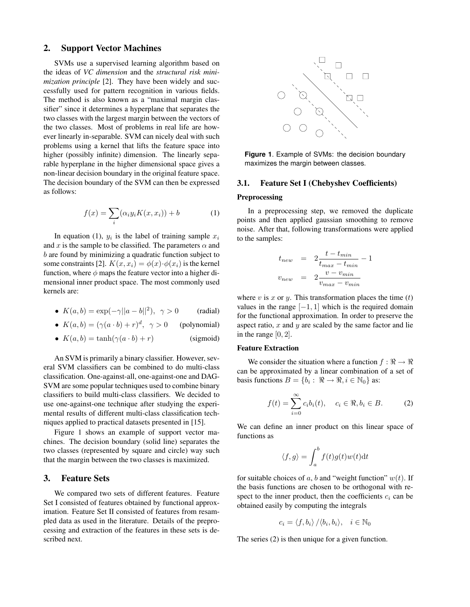#### 2. Support Vector Machines

SVMs use a supervised learning algorithm based on the ideas of *VC dimension* and the *structural risk minimization principle* [2]. They have been widely and successfully used for pattern recognition in various fields. The method is also known as a "maximal margin classifier" since it determines a hyperplane that separates the two classes with the largest margin between the vectors of the two classes. Most of problems in real life are however linearly in-separable. SVM can nicely deal with such problems using a kernel that lifts the feature space into higher (possibly infinite) dimension. The linearly separable hyperplane in the higher dimensional space gives a non-linear decision boundary in the original feature space. The decision boundary of the SVM can then be expressed as follows:

$$
f(x) = \sum_{i} (\alpha_i y_i K(x, x_i)) + b \tag{1}
$$

In equation (1),  $y_i$  is the label of training sample  $x_i$ and x is the sample to be classified. The parameters  $\alpha$  and b are found by minimizing a quadratic function subject to some constraints [2].  $K(x, x_i) = \phi(x) \cdot \phi(x_i)$  is the kernel function, where  $\phi$  maps the feature vector into a higher dimensional inner product space. The most commonly used kernels are:

- $K(a, b) = \exp(-\gamma ||a b||^2), \ \gamma > 0$  (radial)
- $K(a, b) = (\gamma(a \cdot b) + r)^d$ (polynomial)
- $K(a, b) = \tanh(\gamma(a \cdot b) + r)$  (sigmoid)

An SVM is primarily a binary classifier. However, several SVM classifiers can be combined to do multi-class classification. One-against-all, one-against-one and DAG-SVM are some popular techniques used to combine binary classifiers to build multi-class classifiers. We decided to use one-against-one technique after studying the experimental results of different multi-class classification techniques applied to practical datasets presented in [15].

Figure 1 shows an example of support vector machines. The decision boundary (solid line) separates the two classes (represented by square and circle) way such that the margin between the two classes is maximized.

## 3. Feature Sets

We compared two sets of different features. Feature Set I consisted of features obtained by functional approximation. Feature Set II consisted of features from resampled data as used in the literature. Details of the preprocessing and extraction of the features in these sets is described next.



**Figure 1**. Example of SVMs: the decision boundary maximizes the margin between classes.

## 3.1. Feature Set I (Chebyshev Coefficients)

#### Preprocessing

In a preprocessing step, we removed the duplicate points and then applied gaussian smoothing to remove noise. After that, following transformations were applied to the samples:

$$
t_{new} = 2 \frac{t - t_{min}}{t_{max} - t_{min}} - 1
$$

$$
v_{new} = 2 \frac{v - v_{min}}{v_{max} - v_{min}}
$$

where v is x or y. This transformation places the time  $(t)$ values in the range  $[-1, 1]$  which is the required domain for the functional approximation. In order to preserve the aspect ratio,  $x$  and  $y$  are scaled by the same factor and lie in the range  $[0, 2]$ .

#### Feature Extraction

We consider the situation where a function  $f : \mathbb{R} \to \mathbb{R}$ can be approximated by a linear combination of a set of basis functions  $B = \{b_i : \Re \to \Re, i \in \mathbb{N}_0\}$  as:

$$
f(t) = \sum_{i=0}^{\infty} c_i b_i(t), \quad c_i \in \mathbb{R}, b_i \in B.
$$
 (2)

We can define an inner product on this linear space of functions as

$$
\langle f, g \rangle = \int_a^b f(t)g(t)w(t)dt
$$

for suitable choices of a, b and "weight function"  $w(t)$ . If the basis functions are chosen to be orthogonal with respect to the inner product, then the coefficients  $c_i$  can be obtained easily by computing the integrals

$$
c_i = \langle f, b_i \rangle / \langle b_i, b_i \rangle, \quad i \in \mathbb{N}_0
$$

The series (2) is then unique for a given function.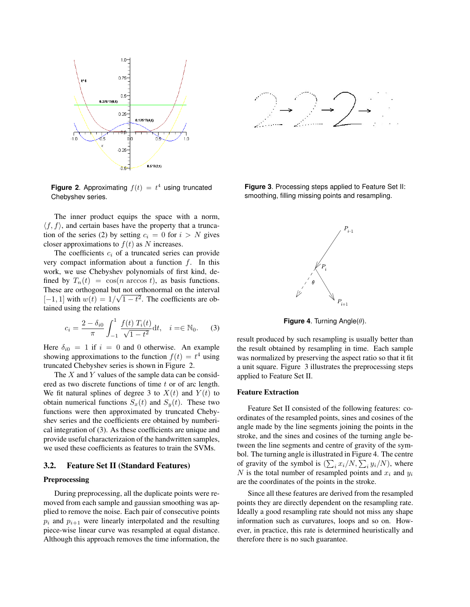

**Figure 2.** Approximating  $f(t) = t^4$  using truncated Chebyshev series.

The inner product equips the space with a norm,  $\langle f, f \rangle$ , and certain bases have the property that a truncation of the series (2) by setting  $c_i = 0$  for  $i > N$  gives closer approximations to  $f(t)$  as N increases.

The coefficients  $c_i$  of a truncated series can provide very compact information about a function  $f$ . In this work, we use Chebyshev polynomials of first kind, defined by  $T_n(t) = \cos(n \arccos t)$ , as basis functions. These are orthogonal but not orthonormal on the interval  $[-1, 1]$  with  $w(t) = 1/\sqrt{1 - t^2}$ . The coefficients are obtained using the relations

$$
c_i = \frac{2 - \delta_{i0}}{\pi} \int_{-1}^{1} \frac{f(t) T_i(t)}{\sqrt{1 - t^2}} dt, \quad i = \in \mathbb{N}_0.
$$
 (3)

Here  $\delta_{i0} = 1$  if  $i = 0$  and 0 otherwise. An example showing approximations to the function  $f(t) = t^4$  using truncated Chebyshev series is shown in Figure 2.

The  $X$  and  $Y$  values of the sample data can be considered as two discrete functions of time t or of arc length. We fit natural splines of degree 3 to  $X(t)$  and  $Y(t)$  to obtain numerical functions  $S_x(t)$  and  $S_y(t)$ . These two functions were then approximated by truncated Chebyshev series and the coefficients ere obtained by numberical integration of (3). As these coefficients are unique and provide useful characterizaion of the handwritten samples, we used these coefficients as features to train the SVMs.

#### 3.2. Feature Set II (Standard Features)

#### Preprocessing

During preprocessing, all the duplicate points were removed from each sample and gaussian smoothing was applied to remove the noise. Each pair of consecutive points  $p_i$  and  $p_{i+1}$  were linearly interpolated and the resulting piece-wise linear curve was resampled at equal distance. Although this approach removes the time information, the



**Figure 3**. Processing steps applied to Feature Set II: smoothing, filling missing points and resampling.



**Figure 4**. Turning Angle(θ).

result produced by such resampling is usually better than the result obtained by resampling in time. Each sample was normalized by preserving the aspect ratio so that it fit a unit square. Figure 3 illustrates the preprocessing steps applied to Feature Set II.

#### Feature Extraction

Feature Set II consisted of the following features: coordinates of the resampled points, sines and cosines of the angle made by the line segments joining the points in the stroke, and the sines and cosines of the turning angle between the line segments and centre of gravity of the symbol. The turning angle is illustrated in Figure 4. The centre of gravity of the symbol is  $(\sum_i x_i/N, \sum_i y_i/N)$ , where N is the total number of resampled points and  $x_i$  and  $y_i$ are the coordinates of the points in the stroke.

Since all these features are derived from the resampled points they are directly dependent on the resampling rate. Ideally a good resampling rate should not miss any shape information such as curvatures, loops and so on. However, in practice, this rate is determined heuristically and therefore there is no such guarantee.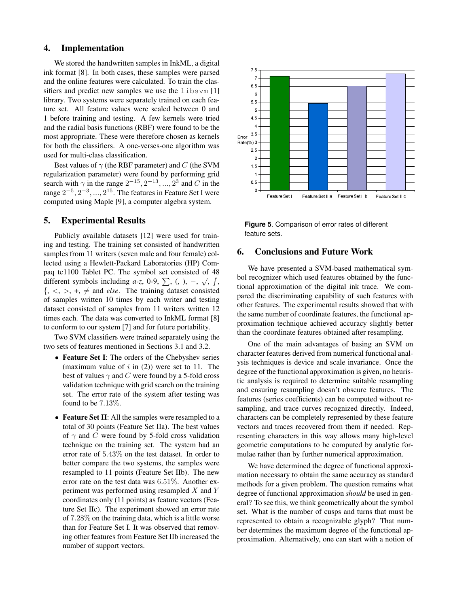## 4. Implementation

We stored the handwritten samples in InkML, a digital ink format [8]. In both cases, these samples were parsed and the online features were calculated. To train the classifiers and predict new samples we use the libsvm [1] library. Two systems were separately trained on each feature set. All feature values were scaled between 0 and 1 before training and testing. A few kernels were tried and the radial basis functions (RBF) were found to be the most appropriate. These were therefore chosen as kernels for both the classifiers. A one-verses-one algorithm was used for multi-class classification.

Best values of  $\gamma$  (the RBF parameter) and C (the SVM regularization parameter) were found by performing grid search with  $\gamma$  in the range  $2^{-15}$ ,  $2^{-13}$ , ...,  $2^3$  and C in the range  $2^{-5}$ ,  $2^{-3}$ , ...,  $2^{15}$ . The features in Feature Set I were computed using Maple [9], a computer algebra system.

## 5. Experimental Results

Publicly available datasets [12] were used for training and testing. The training set consisted of handwritten samples from 11 writers (seven male and four female) collected using a Hewlett-Packard Laboratories (HP) Compaq tc1100 Tablet PC. The symbol set consisted of 48 different symbols including *a-z*, 0-9,  $\sum$ , (, ), –,  $\sqrt{$ ,  $\int$ ,  $\{, \langle \rangle, \rangle, +, \neq \text{ and } \text{ else.} \text{ The training dataset consisted}$ of samples written 10 times by each writer and testing dataset consisted of samples from 11 writers written 12 times each. The data was converted to InkML format [8] to conform to our system [7] and for future portability.

Two SVM classifiers were trained separately using the two sets of features mentioned in Sections 3.1 and 3.2.

- Feature Set I: The orders of the Chebyshev series (maximum value of  $i$  in (2)) were set to 11. The best of values  $\gamma$  and C were found by a 5-fold cross validation technique with grid search on the training set. The error rate of the system after testing was found to be 7.13%.
- Feature Set II: All the samples were resampled to a total of 30 points (Feature Set IIa). The best values of  $\gamma$  and C were found by 5-fold cross validation technique on the training set. The system had an error rate of 5.43% on the test dataset. In order to better compare the two systems, the samples were resampled to 11 points (Feature Set IIb). The new error rate on the test data was 6.51%. Another experiment was performed using resampled  $X$  and  $Y$ coordinates only (11 points) as feature vectors (Feature Set IIc). The experiment showed an error rate of 7.28% on the training data, which is a little worse than for Feature Set I. It was observed that removing other features from Feature Set IIb increased the number of support vectors.



**Figure 5**. Comparison of error rates of different feature sets.

# 6. Conclusions and Future Work

We have presented a SVM-based mathematical symbol recognizer which used features obtained by the functional approximation of the digital ink trace. We compared the discriminating capability of such features with other features. The experimental results showed that with the same number of coordinate features, the functional approximation technique achieved accuracy slightly better than the coordinate features obtained after resampling.

One of the main advantages of basing an SVM on character features derived from numerical functional analysis techniques is device and scale invariance. Once the degree of the functional approximation is given, no heuristic analysis is required to determine suitable resampling and ensuring resampling doesn't obscure features. The features (series coefficients) can be computed without resampling, and trace curves recognized directly. Indeed, characters can be completely represented by these feature vectors and traces recovered from them if needed. Representing characters in this way allows many high-level geometric computations to be computed by analytic formulae rather than by further numerical approximation.

We have determined the degree of functional approximation necessary to obtain the same accuracy as standard methods for a given problem. The question remains what degree of functional approximation *should* be used in general? To see this, we think geometrically about the symbol set. What is the number of cusps and turns that must be represented to obtain a recognizable glyph? That number determines the maximum degree of the functional approximation. Alternatively, one can start with a notion of